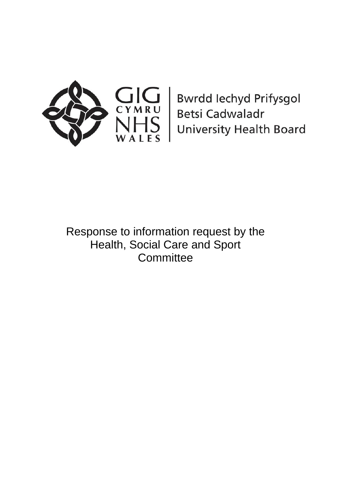

**Bwrdd lechyd Prifysgol Betsi Cadwaladr University Health Board** 

Response to information request by the Health, Social Care and Sport **Committee**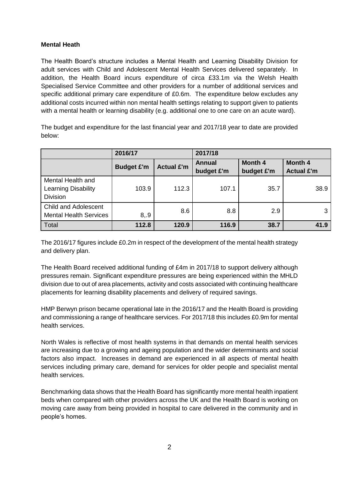# **Mental Heath**

The Health Board's structure includes a Mental Health and Learning Disability Division for adult services with Child and Adolescent Mental Health Services delivered separately. In addition, the Health Board incurs expenditure of circa £33.1m via the Welsh Health Specialised Service Committee and other providers for a number of additional services and specific additional primary care expenditure of £0.6m. The expenditure below excludes any additional costs incurred within non mental health settings relating to support given to patients with a mental health or learning disability (e.g. additional one to one care on an acute ward).

The budget and expenditure for the last financial year and 2017/18 year to date are provided below:

|                                                                    | 2016/17           |                   | 2017/18              |                              |                              |  |
|--------------------------------------------------------------------|-------------------|-------------------|----------------------|------------------------------|------------------------------|--|
|                                                                    | <b>Budget £'m</b> | <b>Actual £'m</b> | Annual<br>budget £'m | <b>Month 4</b><br>budget £'m | Month 4<br><b>Actual £'m</b> |  |
| Mental Health and<br><b>Learning Disability</b><br><b>Division</b> | 103.9             | 112.3             | 107.1                | 35.7                         | 38.9                         |  |
| <b>Child and Adolescent</b><br><b>Mental Health Services</b>       | 8, .9             | 8.6               | 8.8                  | 2.9                          | 3                            |  |
| Total                                                              | 112.8             | 120.9             | 116.9                | 38.7                         | 41.9                         |  |

The 2016/17 figures include £0.2m in respect of the development of the mental health strategy and delivery plan.

The Health Board received additional funding of £4m in 2017/18 to support delivery although pressures remain. Significant expenditure pressures are being experienced within the MHLD division due to out of area placements, activity and costs associated with continuing healthcare placements for learning disability placements and delivery of required savings.

HMP Berwyn prison became operational late in the 2016/17 and the Health Board is providing and commissioning a range of healthcare services. For 2017/18 this includes £0.9m for mental health services.

North Wales is reflective of most health systems in that demands on mental health services are increasing due to a growing and ageing population and the wider determinants and social factors also impact. Increases in demand are experienced in all aspects of mental health services including primary care, demand for services for older people and specialist mental health services.

Benchmarking data shows that the Health Board has significantly more mental health inpatient beds when compared with other providers across the UK and the Health Board is working on moving care away from being provided in hospital to care delivered in the community and in people's homes.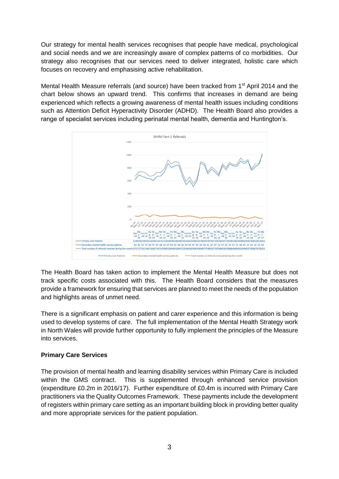Our strategy for mental health services recognises that people have medical, psychological and social needs and we are increasingly aware of complex patterns of co morbidities. Our strategy also recognises that our services need to deliver integrated, holistic care which focuses on recovery and emphasising active rehabilitation.

Mental Health Measure referrals (and source) have been tracked from 1<sup>st</sup> April 2014 and the chart below shows an upward trend. This confirms that increases in demand are being experienced which reflects a growing awareness of mental health issues including conditions such as Attention Deficit Hyperactivity Disorder (ADHD). The Health Board also provides a range of specialist services including perinatal mental health, dementia and Huntington's.



The Health Board has taken action to implement the Mental Health Measure but does not track specific costs associated with this. The Health Board considers that the measures provide a framework for ensuring that services are planned to meet the needs of the population and highlights areas of unmet need.

There is a significant emphasis on patient and carer experience and this information is being used to develop systems of care. The full implementation of the Mental Health Strategy work in North Wales will provide further opportunity to fully implement the principles of the Measure into services.

# **Primary Care Services**

The provision of mental health and learning disability services within Primary Care is included within the GMS contract. This is supplemented through enhanced service provision (expenditure £0.2m in 2016/17). Further expenditure of £0.4m is incurred with Primary Care practitioners via the Quality Outcomes Framework. These payments include the development of registers within primary care setting as an important building block in providing better quality and more appropriate services for the patient population.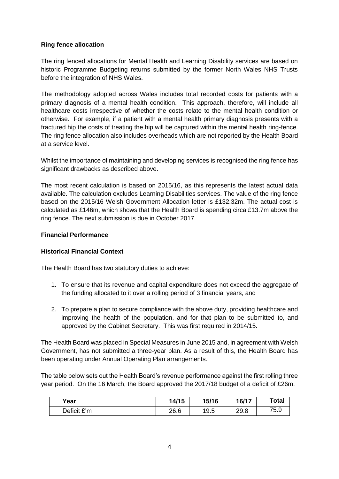## **Ring fence allocation**

The ring fenced allocations for Mental Health and Learning Disability services are based on historic Programme Budgeting returns submitted by the former North Wales NHS Trusts before the integration of NHS Wales.

The methodology adopted across Wales includes total recorded costs for patients with a primary diagnosis of a mental health condition. This approach, therefore, will include all healthcare costs irrespective of whether the costs relate to the mental health condition or otherwise. For example, if a patient with a mental health primary diagnosis presents with a fractured hip the costs of treating the hip will be captured within the mental health ring-fence. The ring fence allocation also includes overheads which are not reported by the Health Board at a service level.

Whilst the importance of maintaining and developing services is recognised the ring fence has significant drawbacks as described above.

The most recent calculation is based on 2015/16, as this represents the latest actual data available. The calculation excludes Learning Disabilities services. The value of the ring fence based on the 2015/16 Welsh Government Allocation letter is £132.32m. The actual cost is calculated as £146m, which shows that the Health Board is spending circa £13.7m above the ring fence. The next submission is due in October 2017.

### **Financial Performance**

# **Historical Financial Context**

The Health Board has two statutory duties to achieve:

- 1. To ensure that its revenue and capital expenditure does not exceed the aggregate of the funding allocated to it over a rolling period of 3 financial years, and
- 2. To prepare a plan to secure compliance with the above duty, providing healthcare and improving the health of the population, and for that plan to be submitted to, and approved by the Cabinet Secretary. This was first required in 2014/15.

The Health Board was placed in Special Measures in June 2015 and, in agreement with Welsh Government, has not submitted a three-year plan. As a result of this, the Health Board has been operating under Annual Operating Plan arrangements.

The table below sets out the Health Board's revenue performance against the first rolling three year period. On the 16 March, the Board approved the 2017/18 budget of a deficit of £26m.

| Year        | 14/15 | 15/16 | 16/17 | <b>Total</b> |
|-------------|-------|-------|-------|--------------|
| Deficit £'m | 26.6  | 19.5  | 29.8  | 75.9         |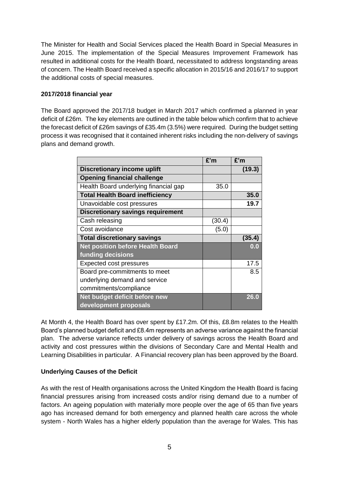The Minister for Health and Social Services placed the Health Board in Special Measures in June 2015. The implementation of the Special Measures Improvement Framework has resulted in additional costs for the Health Board, necessitated to address longstanding areas of concern. The Health Board received a specific allocation in 2015/16 and 2016/17 to support the additional costs of special measures.

## **2017/2018 financial year**

The Board approved the 2017/18 budget in March 2017 which confirmed a planned in year deficit of £26m. The key elements are outlined in the table below which confirm that to achieve the forecast deficit of £26m savings of £35.4m (3.5%) were required. During the budget setting process it was recognised that it contained inherent risks including the non-delivery of savings plans and demand growth.

|                                          | £'m    | £'m    |
|------------------------------------------|--------|--------|
| <b>Discretionary income uplift</b>       |        | (19.3) |
| <b>Opening financial challenge</b>       |        |        |
| Health Board underlying financial gap    | 35.0   |        |
| <b>Total Health Board inefficiency</b>   |        | 35.0   |
| Unavoidable cost pressures               |        | 19.7   |
| <b>Discretionary savings requirement</b> |        |        |
| Cash releasing                           | (30.4) |        |
| Cost avoidance                           | (5.0)  |        |
| <b>Total discretionary savings</b>       |        | (35.4) |
| <b>Net position before Health Board</b>  |        | 0.0    |
| funding decisions                        |        |        |
| <b>Expected cost pressures</b>           |        | 17.5   |
| Board pre-commitments to meet            |        | 8.5    |
| underlying demand and service            |        |        |
| commitments/compliance                   |        |        |
| Net budget deficit before new            |        | 26.0   |
| development proposals                    |        |        |

At Month 4, the Health Board has over spent by £17.2m. Of this, £8.8m relates to the Health Board's planned budget deficit and £8.4m represents an adverse variance against the financial plan. The adverse variance reflects under delivery of savings across the Health Board and activity and cost pressures within the divisions of Secondary Care and Mental Health and Learning Disabilities in particular. A Financial recovery plan has been approved by the Board.

# **Underlying Causes of the Deficit**

As with the rest of Health organisations across the United Kingdom the Health Board is facing financial pressures arising from increased costs and/or rising demand due to a number of factors. An ageing population with materially more people over the age of 65 than five years ago has increased demand for both emergency and planned health care across the whole system - North Wales has a higher elderly population than the average for Wales. This has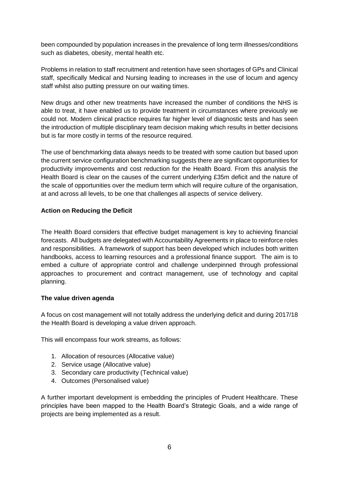been compounded by population increases in the prevalence of long term illnesses/conditions such as diabetes, obesity, mental health etc.

Problems in relation to staff recruitment and retention have seen shortages of GPs and Clinical staff, specifically Medical and Nursing leading to increases in the use of locum and agency staff whilst also putting pressure on our waiting times.

New drugs and other new treatments have increased the number of conditions the NHS is able to treat, it have enabled us to provide treatment in circumstances where previously we could not. Modern clinical practice requires far higher level of diagnostic tests and has seen the introduction of multiple disciplinary team decision making which results in better decisions but is far more costly in terms of the resource required.

The use of benchmarking data always needs to be treated with some caution but based upon the current service configuration benchmarking suggests there are significant opportunities for productivity improvements and cost reduction for the Health Board. From this analysis the Health Board is clear on the causes of the current underlying £35m deficit and the nature of the scale of opportunities over the medium term which will require culture of the organisation, at and across all levels, to be one that challenges all aspects of service delivery.

### **Action on Reducing the Deficit**

The Health Board considers that effective budget management is key to achieving financial forecasts. All budgets are delegated with Accountability Agreements in place to reinforce roles and responsibilities. A framework of support has been developed which includes both written handbooks, access to learning resources and a professional finance support. The aim is to embed a culture of appropriate control and challenge underpinned through professional approaches to procurement and contract management, use of technology and capital planning.

### **The value driven agenda**

A focus on cost management will not totally address the underlying deficit and during 2017/18 the Health Board is developing a value driven approach.

This will encompass four work streams, as follows:

- 1. Allocation of resources (Allocative value)
- 2. Service usage (Allocative value)
- 3. Secondary care productivity (Technical value)
- 4. Outcomes (Personalised value)

A further important development is embedding the principles of Prudent Healthcare. These principles have been mapped to the Health Board's Strategic Goals, and a wide range of projects are being implemented as a result.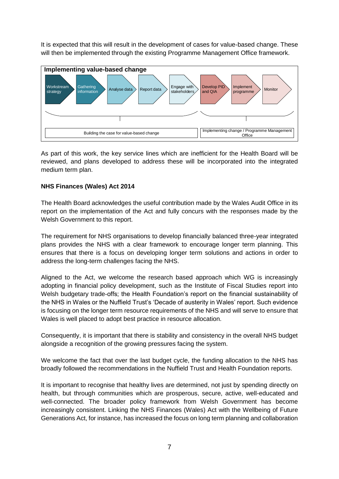It is expected that this will result in the development of cases for value-based change. These will then be implemented through the existing Programme Management Office framework.



As part of this work, the key service lines which are inefficient for the Health Board will be reviewed, and plans developed to address these will be incorporated into the integrated medium term plan.

### **NHS Finances (Wales) Act 2014**

The Health Board acknowledges the useful contribution made by the Wales Audit Office in its report on the implementation of the Act and fully concurs with the responses made by the Welsh Government to this report.

The requirement for NHS organisations to develop financially balanced three-year integrated plans provides the NHS with a clear framework to encourage longer term planning. This ensures that there is a focus on developing longer term solutions and actions in order to address the long-term challenges facing the NHS.

Aligned to the Act, we welcome the research based approach which WG is increasingly adopting in financial policy development, such as the Institute of Fiscal Studies report into Welsh budgetary trade-offs; the Health Foundation's report on the financial sustainability of the NHS in Wales or the Nuffield Trust's 'Decade of austerity in Wales' report. Such evidence is focusing on the longer term resource requirements of the NHS and will serve to ensure that Wales is well placed to adopt best practice in resource allocation.

Consequently, it is important that there is stability and consistency in the overall NHS budget alongside a recognition of the growing pressures facing the system.

We welcome the fact that over the last budget cycle, the funding allocation to the NHS has broadly followed the recommendations in the Nuffield Trust and Health Foundation reports.

It is important to recognise that healthy lives are determined, not just by spending directly on health, but through communities which are prosperous, secure, active, well-educated and well-connected. The broader policy framework from Welsh Government has become increasingly consistent. Linking the NHS Finances (Wales) Act with the Wellbeing of Future Generations Act, for instance, has increased the focus on long term planning and collaboration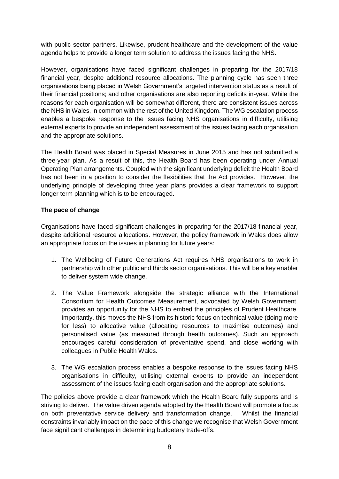with public sector partners. Likewise, prudent healthcare and the development of the value agenda helps to provide a longer term solution to address the issues facing the NHS.

However, organisations have faced significant challenges in preparing for the 2017/18 financial year, despite additional resource allocations. The planning cycle has seen three organisations being placed in Welsh Government's targeted intervention status as a result of their financial positions; and other organisations are also reporting deficits in-year. While the reasons for each organisation will be somewhat different, there are consistent issues across the NHS in Wales, in common with the rest of the United Kingdom. The WG escalation process enables a bespoke response to the issues facing NHS organisations in difficulty, utilising external experts to provide an independent assessment of the issues facing each organisation and the appropriate solutions.

The Health Board was placed in Special Measures in June 2015 and has not submitted a three-year plan. As a result of this, the Health Board has been operating under Annual Operating Plan arrangements. Coupled with the significant underlying deficit the Health Board has not been in a position to consider the flexibilities that the Act provides. However, the underlying principle of developing three year plans provides a clear framework to support longer term planning which is to be encouraged.

### **The pace of change**

Organisations have faced significant challenges in preparing for the 2017/18 financial year, despite additional resource allocations. However, the policy framework in Wales does allow an appropriate focus on the issues in planning for future years:

- 1. The Wellbeing of Future Generations Act requires NHS organisations to work in partnership with other public and thirds sector organisations. This will be a key enabler to deliver system wide change.
- 2. The Value Framework alongside the strategic alliance with the International Consortium for Health Outcomes Measurement, advocated by Welsh Government, provides an opportunity for the NHS to embed the principles of Prudent Healthcare. Importantly, this moves the NHS from its historic focus on technical value (doing more for less) to allocative value (allocating resources to maximise outcomes) and personalised value (as measured through health outcomes). Such an approach encourages careful consideration of preventative spend, and close working with colleagues in Public Health Wales.
- 3. The WG escalation process enables a bespoke response to the issues facing NHS organisations in difficulty, utilising external experts to provide an independent assessment of the issues facing each organisation and the appropriate solutions.

The policies above provide a clear framework which the Health Board fully supports and is striving to deliver. The value driven agenda adopted by the Health Board will promote a focus on both preventative service delivery and transformation change. Whilst the financial constraints invariably impact on the pace of this change we recognise that Welsh Government face significant challenges in determining budgetary trade-offs.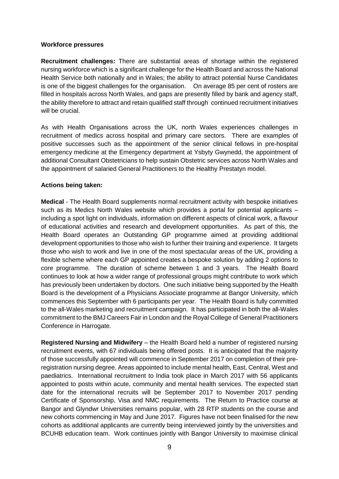#### **Workforce pressures**

**Recruitment challenges:** There are substantial areas of shortage within the registered nursing workforce which is a significant challenge for the Health Board and across the National Health Service both nationally and in Wales; the ability to attract potential Nurse Candidates is one of the biggest challenges for the organisation. On average 85 per cent of rosters are filled in hospitals across North Wales, and gaps are presently filled by bank and agency staff, the ability therefore to attract and retain qualified staff through continued recruitment initiatives will be crucial.

As with Health Organisations across the UK, north Wales experiences challenges in recruitment of medics across hospital and primary care sectors. There are examples of positive successes such as the appointment of the senior clinical fellows in pre-hospital emergency medicine at the Emergency department at Ysbyty Gwynedd, the appointment of additional Consultant Obstetricians to help sustain Obstetric services across North Wales and the appointment of salaried General Practitioners to the Healthy Prestatyn model.

### **Actions being taken:**

**Medical** - The Health Board supplements normal recruitment activity with bespoke initiatives such as its Medics North Wales website which provides a portal for potential applicants – including a spot light on individuals, information on different aspects of clinical work, a flavour of educational activities and research and development opportunities. As part of this, the Health Board operates an Outstanding GP programme aimed at providing additional development opportunities to those who wish to further their training and experience. It targets those who wish to work and live in one of the most spectacular areas of the UK, providing a flexible scheme where each GP appointed creates a bespoke solution by adding 2 options to core programme. The duration of scheme between 1 and 3 years. The Health Board continues to look at how a wider range of professional groups might contribute to work which has previously been undertaken by doctors. One such initiative being supported by the Health Board is the development of a Physicians Associate programme at Bangor University, which commences this September with 6 participants per year. The Health Board is fully committed to the all-Wales marketing and recruitment campaign. It has participated in both the all-Wales commitment to the BMJ Careers Fair in London and the Royal College of General Practitioners Conference in Harrogate.

**Registered Nursing and Midwifery** – the Health Board held a number of registered nursing recruitment events, with 67 individuals being offered posts. It is anticipated that the majority of those successfully appointed will commence in September 2017 on completion of their preregistration nursing degree. Areas appointed to include mental health, East, Central, West and paediatrics. International recruitment to India took place in March 2017 with 56 applicants appointed to posts within acute, community and mental health services. The expected start date for the international recruits will be September 2017 to November 2017 pending Certificate of Sponsorship, Visa and NMC requirements. The Return to Practice course at Bangor and Glyndwr Universities remains popular, with 28 RTP students on the course and new cohorts commencing in May and June 2017. Figures have not been finalised for the new cohorts as additional applicants are currently being interviewed jointly by the universities and BCUHB education team. Work continues jointly with Bangor University to maximise clinical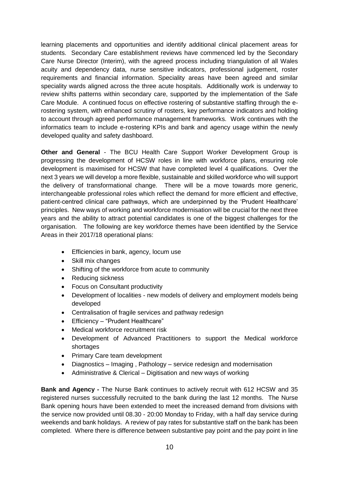learning placements and opportunities and identify additional clinical placement areas for students. Secondary Care establishment reviews have commenced led by the Secondary Care Nurse Director (Interim), with the agreed process including triangulation of all Wales acuity and dependency data, nurse sensitive indicators, professional judgement, roster requirements and financial information. Speciality areas have been agreed and similar speciality wards aligned across the three acute hospitals. Additionally work is underway to review shifts patterns within secondary care, supported by the implementation of the Safe Care Module. A continued focus on effective rostering of substantive staffing through the erostering system, with enhanced scrutiny of rosters, key performance indicators and holding to account through agreed performance management frameworks. Work continues with the informatics team to include e-rostering KPIs and bank and agency usage within the newly developed quality and safety dashboard.

**Other and General** - The BCU Health Care Support Worker Development Group is progressing the development of HCSW roles in line with workforce plans, ensuring role development is maximised for HCSW that have completed level 4 qualifications. Over the next 3 years we will develop a more flexible, sustainable and skilled workforce who will support the delivery of transformational change. There will be a move towards more generic, interchangeable professional roles which reflect the demand for more efficient and effective, patient-centred clinical care pathways, which are underpinned by the 'Prudent Healthcare' principles. New ways of working and workforce modernisation will be crucial for the next three years and the ability to attract potential candidates is one of the biggest challenges for the organisation. The following are key workforce themes have been identified by the Service Areas in their 2017/18 operational plans:

- **Efficiencies in bank, agency, locum use**
- Skill mix changes
- Shifting of the workforce from acute to community
- Reducing sickness
- Focus on Consultant productivity
- Development of localities new models of delivery and employment models being developed
- Centralisation of fragile services and pathway redesign
- Efficiency "Prudent Healthcare"
- Medical workforce recruitment risk
- Development of Advanced Practitioners to support the Medical workforce shortages
- Primary Care team development
- Diagnostics Imaging , Pathology service redesign and modernisation
- Administrative & Clerical Digitisation and new ways of working

**Bank and Agency** *-* The Nurse Bank continues to actively recruit with 612 HCSW and 35 registered nurses successfully recruited to the bank during the last 12 months. The Nurse Bank opening hours have been extended to meet the increased demand from divisions with the service now provided until 08.30 - 20:00 Monday to Friday, with a half day service during weekends and bank holidays. A review of pay rates for substantive staff on the bank has been completed. Where there is difference between substantive pay point and the pay point in line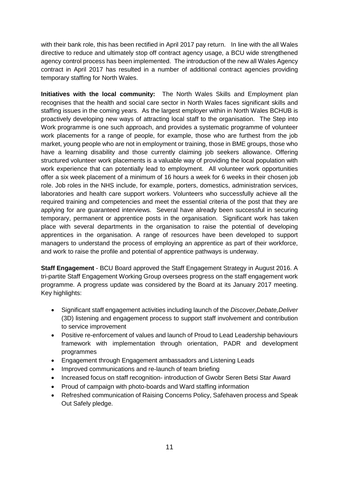with their bank role, this has been rectified in April 2017 pay return. In line with the all Wales directive to reduce and ultimately stop off contract agency usage, a BCU wide strengthened agency control process has been implemented. The introduction of the new all Wales Agency contract in April 2017 has resulted in a number of additional contract agencies providing temporary staffing for North Wales.

**Initiatives with the local community:** The North Wales Skills and Employment plan recognises that the health and social care sector in North Wales faces significant skills and staffing issues in the coming years. As the largest employer within in North Wales BCHUB is proactively developing new ways of attracting local staff to the organisation. The Step into Work programme is one such approach, and provides a systematic programme of volunteer work placements for a range of people, for example, those who are furthest from the job market, young people who are not in employment or training, those in BME groups, those who have a learning disability and those currently claiming job seekers allowance. Offering structured volunteer work placements is a valuable way of providing the local population with work experience that can potentially lead to employment. All volunteer work opportunities offer a six week placement of a minimum of 16 hours a week for 6 weeks in their chosen job role. Job roles in the NHS include, for example, porters, domestics, administration services, laboratories and health care support workers. Volunteers who successfully achieve all the required training and competencies and meet the essential criteria of the post that they are applying for are guaranteed interviews. Several have already been successful in securing temporary, permanent or apprentice posts in the organisation. Significant work has taken place with several departments in the organisation to raise the potential of developing apprentices in the organisation. A range of resources have been developed to support managers to understand the process of employing an apprentice as part of their workforce, and work to raise the profile and potential of apprentice pathways is underway.

**Staff Engagement** - BCU Board approved the Staff Engagement Strategy in August 2016. A tri-partite Staff Engagement Working Group oversees progress on the staff engagement work programme. A progress update was considered by the Board at its January 2017 meeting. Key highlights:

- Significant staff engagement activities including launch of the *Discover,Debate,Deliver*  (3D) listening and engagement process to support staff involvement and contribution to service improvement
- Positive re-enforcement of values and launch of Proud to Lead Leadership behaviours framework with implementation through orientation, PADR and development programmes
- Engagement through Engagement ambassadors and Listening Leads
- Improved communications and re-launch of team briefing
- Increased focus on staff recognition- introduction of Gwobr Seren Betsi Star Award
- Proud of campaign with photo-boards and Ward staffing information
- Refreshed communication of Raising Concerns Policy, Safehaven process and Speak Out Safely pledge.